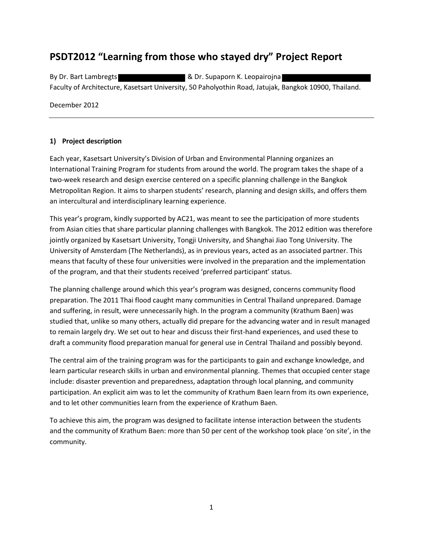# **PSDT2012 "Learning from those who stayed dry" Project Report**

By Dr. Bart Lambregts **Bullet Accord By Dr. Supaporn K. Leopairojna** Faculty of Architecture, Kasetsart University, 50 Paholyothin Road, Jatujak, Bangkok 10900, Thailand.

December 2012

### **1) Project description**

Each year, Kasetsart University's Division of Urban and Environmental Planning organizes an International Training Program for students from around the world. The program takes the shape of a two-week research and design exercise centered on a specific planning challenge in the Bangkok Metropolitan Region. It aims to sharpen students' research, planning and design skills, and offers them an intercultural and interdisciplinary learning experience.

This year's program, kindly supported by AC21, was meant to see the participation of more students from Asian cities that share particular planning challenges with Bangkok. The 2012 edition was therefore jointly organized by Kasetsart University, Tongji University, and Shanghai Jiao Tong University. The University of Amsterdam (The Netherlands), as in previous years, acted as an associated partner. This means that faculty of these four universities were involved in the preparation and the implementation of the program, and that their students received 'preferred participant' status.

The planning challenge around which this year's program was designed, concerns community flood preparation. The 2011 Thai flood caught many communities in Central Thailand unprepared. Damage and suffering, in result, were unnecessarily high. In the program a community (Krathum Baen) was studied that, unlike so many others, actually did prepare for the advancing water and in result managed to remain largely dry. We set out to hear and discuss their first-hand experiences, and used these to draft a community flood preparation manual for general use in Central Thailand and possibly beyond.

The central aim of the training program was for the participants to gain and exchange knowledge, and learn particular research skills in urban and environmental planning. Themes that occupied center stage include: disaster prevention and preparedness, adaptation through local planning, and community participation. An explicit aim was to let the community of Krathum Baen learn from its own experience, and to let other communities learn from the experience of Krathum Baen.

To achieve this aim, the program was designed to facilitate intense interaction between the students and the community of Krathum Baen: more than 50 per cent of the workshop took place 'on site', in the community.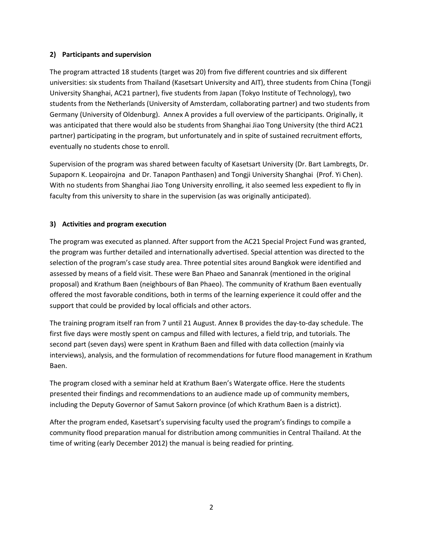#### **2) Participants and supervision**

The program attracted 18 students (target was 20) from five different countries and six different universities: six students from Thailand (Kasetsart University and AIT), three students from China (Tongji University Shanghai, AC21 partner), five students from Japan (Tokyo Institute of Technology), two students from the Netherlands (University of Amsterdam, collaborating partner) and two students from Germany (University of Oldenburg). Annex A provides a full overview of the participants. Originally, it was anticipated that there would also be students from Shanghai Jiao Tong University (the third AC21 partner) participating in the program, but unfortunately and in spite of sustained recruitment efforts, eventually no students chose to enroll.

Supervision of the program was shared between faculty of Kasetsart University (Dr. Bart Lambregts, Dr. Supaporn K. Leopairojna and Dr. Tanapon Panthasen) and Tongji University Shanghai (Prof. Yi Chen). With no students from Shanghai Jiao Tong University enrolling, it also seemed less expedient to fly in faculty from this university to share in the supervision (as was originally anticipated).

### **3) Activities and program execution**

The program was executed as planned. After support from the AC21 Special Project Fund was granted, the program was further detailed and internationally advertised. Special attention was directed to the selection of the program's case study area. Three potential sites around Bangkok were identified and assessed by means of a field visit. These were Ban Phaeo and Sananrak (mentioned in the original proposal) and Krathum Baen (neighbours of Ban Phaeo). The community of Krathum Baen eventually offered the most favorable conditions, both in terms of the learning experience it could offer and the support that could be provided by local officials and other actors.

The training program itself ran from 7 until 21 August. Annex B provides the day-to-day schedule. The first five days were mostly spent on campus and filled with lectures, a field trip, and tutorials. The second part (seven days) were spent in Krathum Baen and filled with data collection (mainly via interviews), analysis, and the formulation of recommendations for future flood management in Krathum Baen.

The program closed with a seminar held at Krathum Baen's Watergate office. Here the students presented their findings and recommendations to an audience made up of community members, including the Deputy Governor of Samut Sakorn province (of which Krathum Baen is a district).

After the program ended, Kasetsart's supervising faculty used the program's findings to compile a community flood preparation manual for distribution among communities in Central Thailand. At the time of writing (early December 2012) the manual is being readied for printing.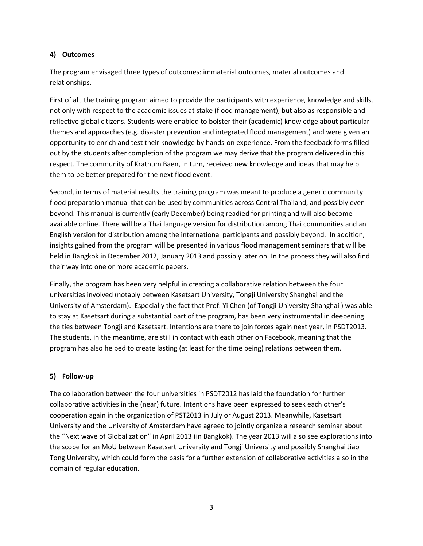#### **4) Outcomes**

The program envisaged three types of outcomes: immaterial outcomes, material outcomes and relationships.

First of all, the training program aimed to provide the participants with experience, knowledge and skills, not only with respect to the academic issues at stake (flood management), but also as responsible and reflective global citizens. Students were enabled to bolster their (academic) knowledge about particular themes and approaches (e.g. disaster prevention and integrated flood management) and were given an opportunity to enrich and test their knowledge by hands-on experience. From the feedback forms filled out by the students after completion of the program we may derive that the program delivered in this respect. The community of Krathum Baen, in turn, received new knowledge and ideas that may help them to be better prepared for the next flood event.

Second, in terms of material results the training program was meant to produce a generic community flood preparation manual that can be used by communities across Central Thailand, and possibly even beyond. This manual is currently (early December) being readied for printing and will also become available online. There will be a Thai language version for distribution among Thai communities and an English version for distribution among the international participants and possibly beyond. In addition, insights gained from the program will be presented in various flood management seminars that will be held in Bangkok in December 2012, January 2013 and possibly later on. In the process they will also find their way into one or more academic papers.

Finally, the program has been very helpful in creating a collaborative relation between the four universities involved (notably between Kasetsart University, Tongji University Shanghai and the University of Amsterdam). Especially the fact that Prof. Yi Chen (of Tongji University Shanghai ) was able to stay at Kasetsart during a substantial part of the program, has been very instrumental in deepening the ties between Tongji and Kasetsart. Intentions are there to join forces again next year, in PSDT2013. The students, in the meantime, are still in contact with each other on Facebook, meaning that the program has also helped to create lasting (at least for the time being) relations between them.

#### **5) Follow-up**

The collaboration between the four universities in PSDT2012 has laid the foundation for further collaborative activities in the (near) future. Intentions have been expressed to seek each other's cooperation again in the organization of PST2013 in July or August 2013. Meanwhile, Kasetsart University and the University of Amsterdam have agreed to jointly organize a research seminar about the "Next wave of Globalization" in April 2013 (in Bangkok). The year 2013 will also see explorations into the scope for an MoU between Kasetsart University and Tongji University and possibly Shanghai Jiao Tong University, which could form the basis for a further extension of collaborative activities also in the domain of regular education.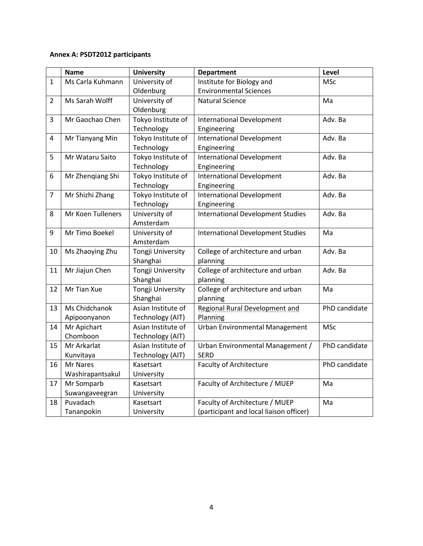# **Annex A: PSDT2012 participants**

|                | <b>Name</b>       | <b>University</b>  | <b>Department</b>                        | Level         |
|----------------|-------------------|--------------------|------------------------------------------|---------------|
| $\mathbf{1}$   | Ms Carla Kuhmann  | University of      | Institute for Biology and                | <b>MSc</b>    |
|                |                   | Oldenburg          | <b>Environmental Sciences</b>            |               |
| $\overline{2}$ | Ms Sarah Wolff    | University of      | <b>Natural Science</b>                   | Ma            |
|                |                   | Oldenburg          |                                          |               |
| 3              | Mr Gaochao Chen   | Tokyo Institute of | <b>International Development</b>         | Adv. Ba       |
|                |                   | Technology         | Engineering                              |               |
| 4              | Mr Tianyang Min   | Tokyo Institute of | <b>International Development</b>         | Adv. Ba       |
|                |                   | Technology         | Engineering                              |               |
| 5.             | Mr Wataru Saito   | Tokyo Institute of | <b>International Development</b>         | Adv. Ba       |
|                |                   | Technology         | Engineering                              |               |
| 6              | Mr Zhenqiang Shi  | Tokyo Institute of | <b>International Development</b>         | Adv. Ba       |
|                |                   | Technology         | Engineering                              |               |
| $\overline{7}$ | Mr Shizhi Zhang   | Tokyo Institute of | <b>International Development</b>         | Adv. Ba       |
|                |                   | Technology         | Engineering                              |               |
| 8              | Mr Koen Tulleners | University of      | <b>International Development Studies</b> | Adv. Ba       |
|                |                   | Amsterdam          |                                          |               |
| 9              | Mr Timo Boekel    | University of      | <b>International Development Studies</b> | Ma            |
|                |                   | Amsterdam          |                                          |               |
| 10             | Ms Zhaoying Zhu   | Tongji University  | College of architecture and urban        | Adv. Ba       |
|                |                   | Shanghai           | planning                                 |               |
| 11             | Mr Jiajun Chen    | Tongji University  | College of architecture and urban        | Adv. Ba       |
|                |                   | Shanghai           | planning                                 |               |
| 12             | Mr Tian Xue       | Tongji University  | College of architecture and urban        | Ma            |
|                |                   | Shanghai           | planning                                 |               |
| 13             | Ms Chidchanok     | Asian Institute of | <b>Regional Rural Development and</b>    | PhD candidate |
|                | Apipoonyanon      | Technology (AIT)   | Planning                                 |               |
| 14             | Mr Apichart       | Asian Institute of | <b>Urban Environmental Management</b>    | <b>MSc</b>    |
|                | Chomboon          | Technology (AIT)   |                                          |               |
| 15             | Mr Arkarlat       | Asian Institute of | Urban Environmental Management /         | PhD candidate |
|                | Kunvitaya         | Technology (AIT)   | <b>SERD</b>                              |               |
| 16             | Mr Nares          | Kasetsart          | <b>Faculty of Architecture</b>           | PhD candidate |
|                | Washirapantsakul  | University         |                                          |               |
| 17             | Mr Somparb        | Kasetsart          | Faculty of Architecture / MUEP           | Ma            |
|                | Suwangaveegran    | University         |                                          |               |
| 18             | Puvadach          | Kasetsart          | Faculty of Architecture / MUEP           | Ma            |
|                | Tananpokin        | University         | (participant and local liaison officer)  |               |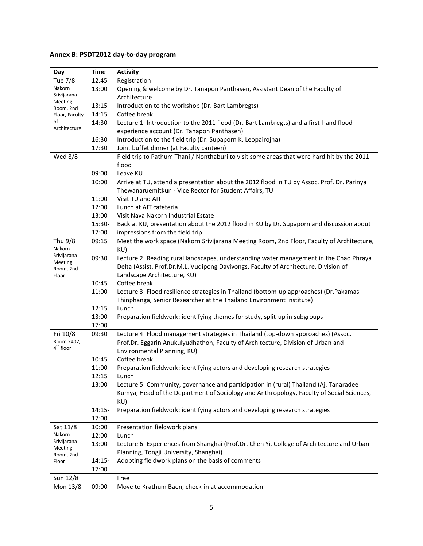# **Annex B: PSDT2012 day-to-day program**

| Day                    | <b>Time</b> | <b>Activity</b>                                                                            |
|------------------------|-------------|--------------------------------------------------------------------------------------------|
| Tue 7/8                | 12.45       | Registration                                                                               |
| Nakorn                 | 13:00       | Opening & welcome by Dr. Tanapon Panthasen, Assistant Dean of the Faculty of               |
| Srivijarana            |             | Architecture                                                                               |
| Meeting<br>Room, 2nd   | 13:15       | Introduction to the workshop (Dr. Bart Lambregts)                                          |
| Floor, Faculty         | 14:15       | Coffee break                                                                               |
| of                     | 14:30       | Lecture 1: Introduction to the 2011 flood (Dr. Bart Lambregts) and a first-hand flood      |
| Architecture           |             | experience account (Dr. Tanapon Panthasen)                                                 |
|                        | 16:30       | Introduction to the field trip (Dr. Supaporn K. Leopairojna)                               |
|                        | 17:30       | Joint buffet dinner (at Faculty canteen)                                                   |
| <b>Wed 8/8</b>         |             | Field trip to Pathum Thani / Nonthaburi to visit some areas that were hard hit by the 2011 |
|                        |             | flood                                                                                      |
|                        | 09:00       | Leave KU                                                                                   |
|                        | 10:00       | Arrive at TU, attend a presentation about the 2012 flood in TU by Assoc. Prof. Dr. Parinya |
|                        |             | Thewanaruemitkun - Vice Rector for Student Affairs, TU                                     |
|                        | 11:00       | Visit TU and AIT                                                                           |
|                        | 12:00       | Lunch at AIT cafeteria                                                                     |
|                        | 13:00       | Visit Nava Nakorn Industrial Estate                                                        |
|                        | 15:30-      | Back at KU, presentation about the 2012 flood in KU by Dr. Supaporn and discussion about   |
|                        | 17:00       | impressions from the field trip                                                            |
| Thu 9/8                | 09:15       | Meet the work space (Nakorn Srivijarana Meeting Room, 2nd Floor, Faculty of Architecture,  |
| Nakorn                 |             | KU)                                                                                        |
| Srivijarana<br>Meeting | 09:30       | Lecture 2: Reading rural landscapes, understanding water management in the Chao Phraya     |
| Room, 2nd              |             | Delta (Assist. Prof.Dr.M.L. Vudipong Davivongs, Faculty of Architecture, Division of       |
| Floor                  |             | Landscape Architecture, KU)                                                                |
|                        | 10:45       | Coffee break                                                                               |
|                        | 11:00       | Lecture 3: Flood resilience strategies in Thailand (bottom-up approaches) (Dr.Pakamas      |
|                        |             | Thinphanga, Senior Researcher at the Thailand Environment Institute)                       |
|                        | 12:15       | Lunch                                                                                      |
|                        | 13:00-      | Preparation fieldwork: identifying themes for study, split-up in subgroups                 |
|                        | 17:00       |                                                                                            |
| Fri 10/8               | 09:30       | Lecture 4: Flood management strategies in Thailand (top-down approaches) (Assoc.           |
| Room 2402,             |             | Prof.Dr. Eggarin Anukulyudhathon, Faculty of Architecture, Division of Urban and           |
| 4 <sup>th</sup> floor  |             | Environmental Planning, KU)                                                                |
|                        | 10:45       | Coffee break                                                                               |
|                        | 11:00       | Preparation fieldwork: identifying actors and developing research strategies               |
|                        | 12:15       | Lunch                                                                                      |
|                        | 13:00       | Lecture 5: Community, governance and participation in (rural) Thailand (Aj. Tanaradee      |
|                        |             | Kumya, Head of the Department of Sociology and Anthropology, Faculty of Social Sciences,   |
|                        |             | KU)                                                                                        |
|                        | 14:15-      | Preparation fieldwork: identifying actors and developing research strategies               |
|                        | 17:00       |                                                                                            |
| Sat 11/8               | 10:00       | Presentation fieldwork plans                                                               |
| Nakorn<br>Srivijarana  | 12:00       | Lunch                                                                                      |
| Meeting                | 13:00       | Lecture 6: Experiences from Shanghai (Prof.Dr. Chen Yi, College of Architecture and Urban  |
| Room, 2nd              |             | Planning, Tongji University, Shanghai)                                                     |
| Floor                  | $14:15-$    | Adopting fieldwork plans on the basis of comments                                          |
|                        | 17:00       |                                                                                            |
| Sun 12/8               |             | Free                                                                                       |
| Mon 13/8               | 09:00       | Move to Krathum Baen, check-in at accommodation                                            |